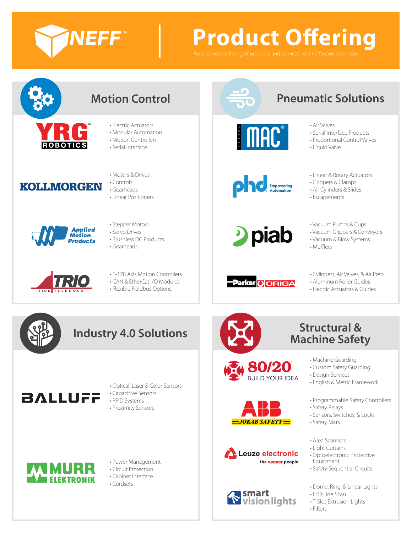

# **Product Offering**



- - Electric Actuators
	- Modular Automation
	- Motion Controllers

• Motors & Drives • Controls

• Serial Interface



• Gearheads • Linear Positioners



- Stepper Motors • Servo Drives
- Brushless DC Products
- Gearheads



- 1-128 Axis Motion Controllers
- CAN & EtherCat I/O Modules
- Flexible Fieldbus Options



## **Pneumatic Solutions**

• Air Valves



• Linear & Rotary Actuators

• Serial Interface Products

- Grippers & Clamps
- Air Cylinders & Slides
- Escapements



**Empowering**<br>Automation

- Vacuum Pumps & Cups
- Vacuum Grippers & Conveyors
- Vacuum & Blow Systems
- Mufflers



80/20 **BUILD YOUR IDEA** 

**JOKAB SAFETY** 

Leuze electronic

**vision lights** 

smart

the sensor people

- Cylinders, Air Valves, & Air Prep
- Aluminum Roller Guides
- Electric Actuators & Guides



### **Industry 4.0 Solutions**



- Optical, Laser & Color Sensors • Capacitive Sensors
- RFID Systems
- Proximity Sensors



### • Power Management

- Circuit Protection
- Cabinet Interface
- Cordsets





- Machine Guarding
- Custom Safety Guarding
- Design Services
- English & Metric Framework
- Programmable Safety Controllers
	- Safety Relays
	- Sensors, Switches, & Locks
	- Safety Mats
- Area Scanners
- Light Curtains
- Optoelectronic Protective Equipment
- Safety Sequential Circuits
- Dome, Ring, & Linear Lights
	- LED Line Scan
- T-Slot Extrusion Lights
- Filters